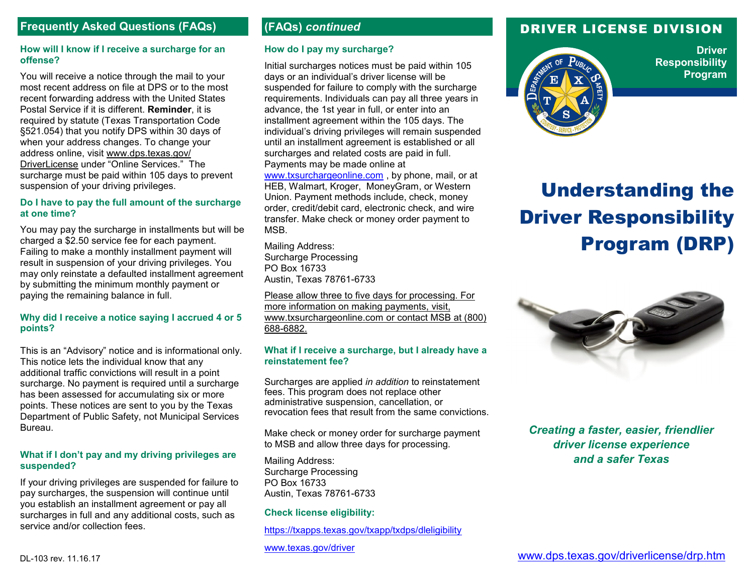# **Frequently Asked Questions (FAQs) (FAQs)** *continued*

#### **How will I know if I receive a surcharge for an offense?**

You will receive a notice through the mail to your most recent address on file at DPS or to the most recent forwarding address with the United States Postal Service if it is different. **Reminder**, it is required by statute (Texas Transportation Code §521.054) that you notify DPS within 30 days of when your address changes. To change your address online, visit [www.dps.texas.gov/](http://www.dps.texas.gov/DriverLicense/) [DriverLicense](http://www.dps.texas.gov/DriverLicense/) under "Online Services." The surcharge must be paid within 105 days to prevent suspension of your driving privileges.

#### **Do I have to pay the full amount of the surcharge at one time?**

You may pay the surcharge in installments but will be charged a \$2.50 service fee for each payment. Failing to make a monthly installment payment will result in suspension of your driving privileges. You may only reinstate a defaulted installment agreement by submitting the minimum monthly payment or paying the remaining balance in full.

#### **Why did I receive a notice saying I accrued 4 or 5 points?**

This is an "Advisory" notice and is informational only. This notice lets the individual know that any additional traffic convictions will result in a point surcharge. No payment is required until a surcharge has been assessed for accumulating six or more points. These notices are sent to you by the Texas Department of Public Safety, not Municipal Services Bureau.

#### **What if I don't pay and my driving privileges are suspended?**

If your driving privileges are suspended for failure to pay surcharges, the suspension will continue until you establish an installment agreement or pay all surcharges in full and any additional costs, such as service and/or collection fees.

## **How do I pay my surcharge?**

Initial surcharges notices must be paid within 105 days or an individual's driver license will be suspended for failure to comply with the surcharge requirements. Individuals can pay all three years in advance, the 1st year in full, or enter into an installment agreement within the 105 days. The individual's driving privileges will remain suspended until an installment agreement is established or all surcharges and related costs are paid in full. Payments may be made online at [www.txsurchargeonline.com](http://www.txsurchargeonline.com) , by phone, mail, or at HEB, Walmart, Kroger, MoneyGram, or Western Union. Payment methods include, check, money order, credit/debit card, electronic check, and wire transfer. Make check or money order payment to MSB.

Mailing Address: Surcharge Processing PO Box 16733 Austin, Texas 78761-6733

Please allow three to five days for processing. For more information on making payments, visit, www.txsurchargeonline.com or contact MSB at (800) 688-6882.

### **What if I receive a surcharge, but I already have a reinstatement fee?**

Surcharges are applied *in addition* to reinstatement fees. This program does not replace other administrative suspension, cancellation, or revocation fees that result from the same convictions.

Make check or money order for surcharge payment to MSB and allow three days for processing.

Mailing Address: Surcharge Processing PO Box 16733 Austin, Texas 78761-6733

#### **Check license eligibility:**

[https://txapps.texas.gov/txapp/txdps/dleligibility](https://txapps.texas.gov/txapp/txdps/dleligibility/)

[www.texas.gov/driver](http://www.texas.gov/en/discover/Pages/driver.aspx)

# DRIVER LICENSE DIVISION



**Driver Responsibility Program**

# Understanding the Driver Responsibility Program (DRP)



*Creating a faster, easier, friendlier driver license experience and a safer Texas*